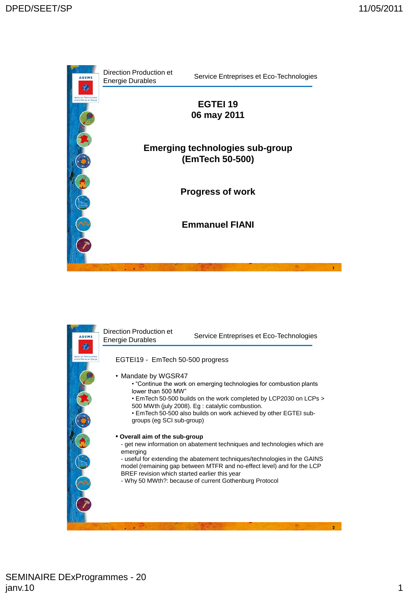

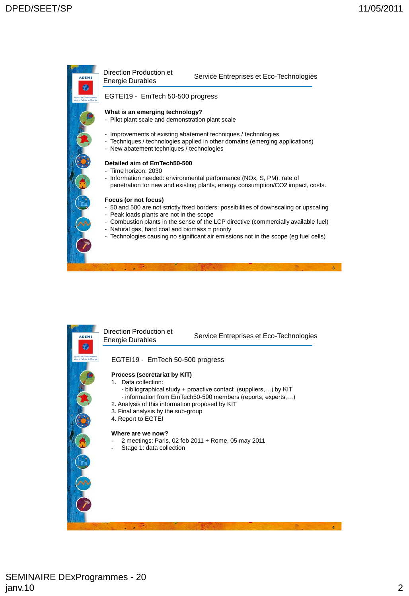